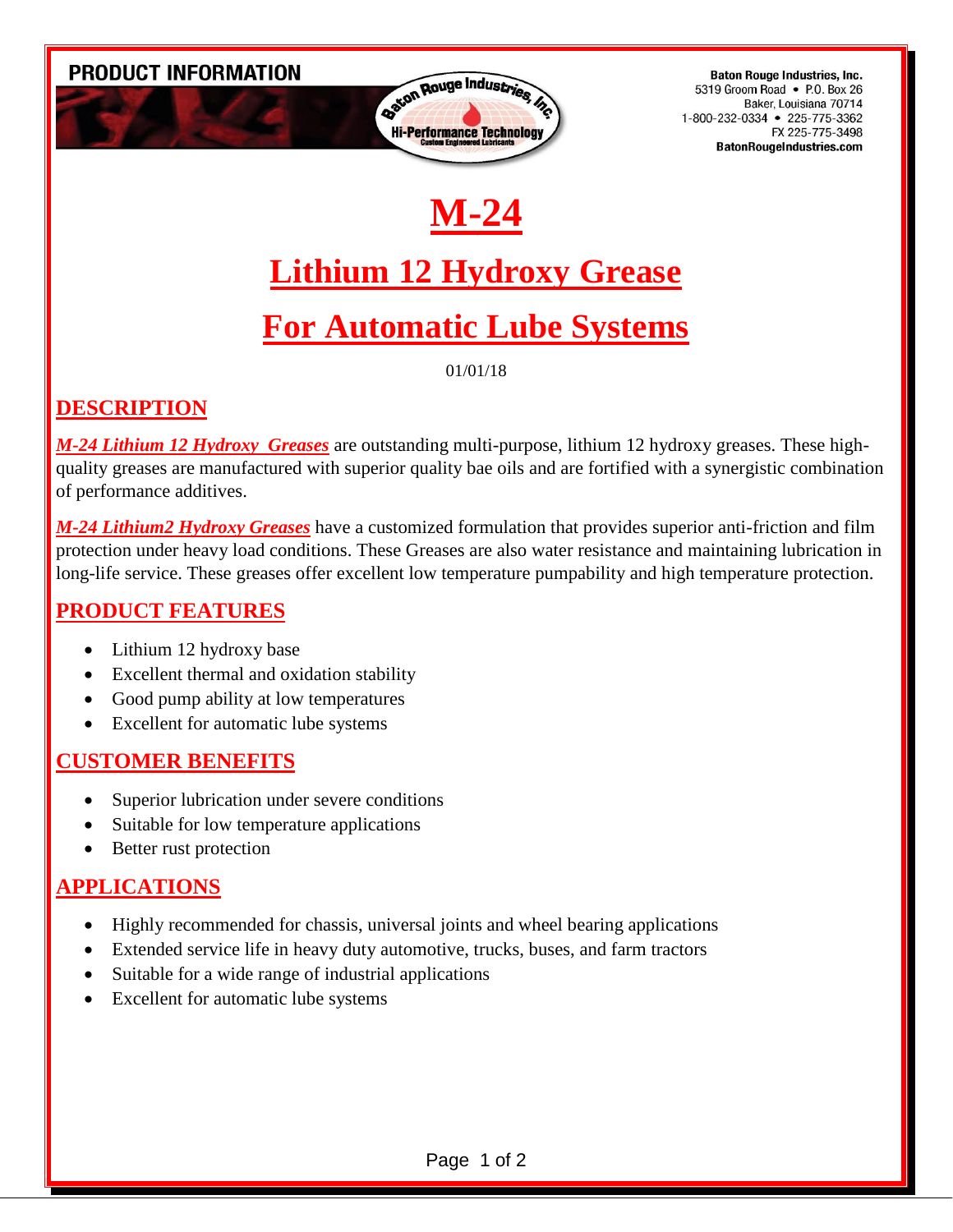



**Baton Rouge Industries, Inc.** 5319 Groom Road • P.O. Box 26 Baker, Louisiana 70714 1-800-232-0334 • 225-775-3362 FX 225-775-3498 **BatonRougeIndustries.com** 

# **M-24**

### **Lithium 12 Hydroxy Grease**

### **For Automatic Lube Systems**

01/01/18

### **DESCRIPTION**

*M-24 Lithium 12 Hydroxy Greases* are outstanding multi-purpose, lithium 12 hydroxy greases. These highquality greases are manufactured with superior quality bae oils and are fortified with a synergistic combination of performance additives.

*M-24 Lithium2 Hydroxy Greases* have a customized formulation that provides superior anti-friction and film protection under heavy load conditions. These Greases are also water resistance and maintaining lubrication in long-life service. These greases offer excellent low temperature pumpability and high temperature protection.

#### **PRODUCT FEATURES**

- Lithium 12 hydroxy base
- Excellent thermal and oxidation stability
- Good pump ability at low temperatures
- Excellent for automatic lube systems

#### **CUSTOMER BENEFITS**

- Superior lubrication under severe conditions
- Suitable for low temperature applications
- Better rust protection

#### **APPLICATIONS**

- Highly recommended for chassis, universal joints and wheel bearing applications
- Extended service life in heavy duty automotive, trucks, buses, and farm tractors
- Suitable for a wide range of industrial applications
- Excellent for automatic lube systems